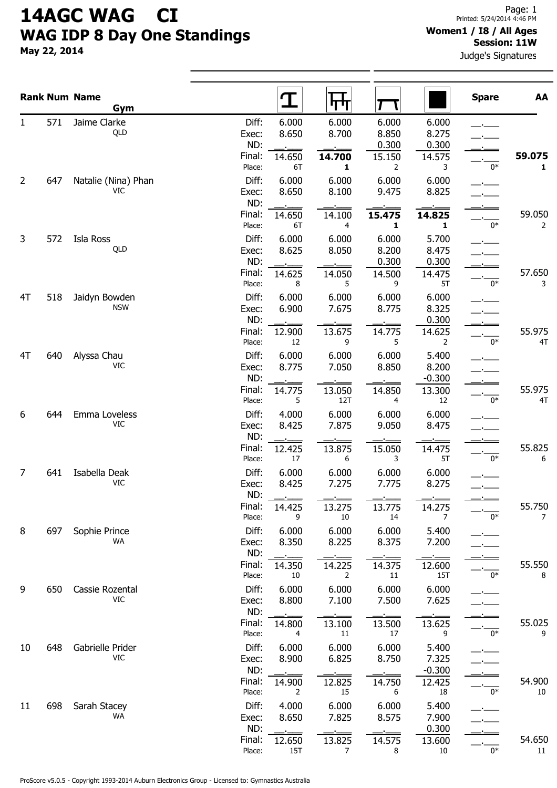## 14AGC WAG CI WAG IDP 8 Day One Standings

May 22, 2014

Judge's Signatures

|                |     | <b>Rank Num Name</b><br>Gym |                           | <u>ፐ</u>              | पाण                              |                          |                         | <b>Spare</b> | AA           |
|----------------|-----|-----------------------------|---------------------------|-----------------------|----------------------------------|--------------------------|-------------------------|--------------|--------------|
| 1              | 571 | Jaime Clarke<br>QLD         | Diff:<br>Exec:            | 6.000<br>8.650        | 6.000<br>8.700                   | 6.000<br>8.850           | 6.000<br>8.275          |              |              |
|                |     |                             | ND:<br>Final:<br>Place:   | 14.650<br>6T          | 14.700<br>1                      | 0.300<br>15.150<br>2     | 0.300<br>14.575<br>3    | 0*           | 59.075<br>1  |
| $\overline{2}$ | 647 | Natalie (Nina) Phan<br>VIC  | Diff:<br>Exec:<br>ND:     | 6.000<br>8.650        | 6.000<br>8.100                   | 6.000<br>9.475           | 6.000<br>8.825          |              |              |
|                |     |                             | Final:<br>Place:          | 14.650<br>6T          | 14.100<br>4                      | 15.475<br>1              | 14.825<br>$\mathbf{1}$  | 0*           | 59.050<br>2  |
| 3              | 572 | Isla Ross<br>QLD            | Diff:<br>Exec:<br>ND:     | 6.000<br>8.625        | 6.000<br>8.050                   | 6.000<br>8.200<br>0.300  | 5.700<br>8.475<br>0.300 |              |              |
|                |     |                             | Final:<br>Place:          | 14.625<br>8           | 14.050<br>5                      | 14.500<br>9              | 14.475<br>5T            | 0*           | 57.650<br>3  |
| 4T             | 518 | Jaidyn Bowden<br><b>NSW</b> | Diff:<br>Exec:<br>ND:     | 6.000<br>6.900        | 6.000<br>7.675                   | 6.000<br>8.775           | 6.000<br>8.325<br>0.300 |              |              |
| 4T             | 640 | Alyssa Chau                 | Final:<br>Place:<br>Diff: | 12.900<br>12<br>6.000 | 13.675<br>9<br>6.000             | 14.775<br>5<br>6.000     | 14.625<br>2<br>5.400    | $0*$         | 55.975<br>4T |
|                |     | VIC                         | Exec:<br>ND:              | 8.775                 | 7.050                            | 8.850                    | 8.200<br>$-0.300$       |              |              |
| 6              | 644 | Emma Loveless               | Final:<br>Place:<br>Diff: | 14.775<br>5<br>4.000  | 13.050<br>12T<br>6.000           | 14.850<br>4<br>6.000     | 13.300<br>12<br>6.000   | 0*           | 55.975<br>4T |
|                |     | VIC                         | Exec:<br>ND:<br>Final:    | 8.425                 | 7.875                            | 9.050                    | 8.475                   |              | 55.825       |
| 7              | 641 | Isabella Deak               | Place:<br>Diff:           | 12.425<br>17<br>6.000 | 13.875<br>6<br>6.000             | 15.050<br>3<br>6.000     | 14.475<br>5T<br>6.000   | 0*           | 6            |
|                |     | VIC                         | Exec:<br>ND:<br>Final:    | 8.425<br>14.425       | 7.275<br>13.275                  | 7.775<br>13.775          | 8.275<br>14.275         |              | 55.750       |
| 8              | 697 | Sophie Prince               | Place:<br>Diff:           | 9<br>6.000            | $10\,$<br>6.000                  | 14<br>6.000              | 7<br>5.400              | 0*           | 7            |
|                |     | <b>WA</b>                   | Exec:<br>ND:<br>Final:    | 8.350<br>14.350       | 8.225<br>14.225                  | 8.375<br>14.375          | 7.200<br>12.600         |              | 55.550       |
| 9              | 650 | Cassie Rozental<br>VIC      | Place:<br>Diff:           | 10<br>6.000<br>8.800  | $\overline{2}$<br>6.000<br>7.100 | $11\,$<br>6.000<br>7.500 | <b>15T</b><br>6.000     | 0*           | 8            |
|                |     |                             | Exec:<br>ND:<br>Final:    | 14.800                | 13.100                           | 13.500                   | 7.625<br>13.625         |              | 55.025       |
| 10             | 648 | Gabrielle Prider<br>VIC     | Place:<br>Diff:<br>Exec:  | 4<br>6.000<br>8.900   | 11<br>6.000<br>6.825             | 17<br>6.000<br>8.750     | 9<br>5.400<br>7.325     | 0*           | 9            |
|                |     |                             | ND:<br>Final:             | 14.900                | 12.825                           | 14.750                   | $-0.300$<br>12.425      |              | 54.900       |
| 11             | 698 | Sarah Stacey<br>WA          | Place:<br>Diff:<br>Exec:  | 2<br>4.000<br>8.650   | 15<br>6.000<br>7.825             | 6<br>6.000<br>8.575      | 18<br>5.400<br>7.900    | 0*           | 10           |
|                |     |                             | ND:<br>Final:             | 12.650                | 13.825                           | 14.575                   | 0.300<br>13.600         |              | 54.650       |
|                |     |                             | Place:                    | <b>15T</b>            | 7                                | 8                        | 10                      | $0*$         | 11           |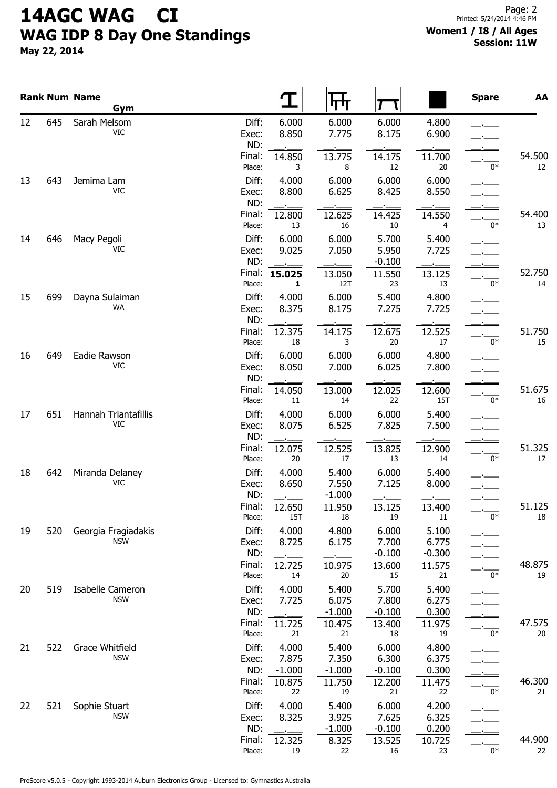# 14AGC WAG CI WAG IDP 8 Day One Standings

May 22, 2014

#### Women1 / I8 / All Ages Session: 11W

|                      |     | <b>Rank Num Name</b><br>Gym        |                           |                       | पाण                        |                            |                            | <b>Spare</b> | AA           |
|----------------------|-----|------------------------------------|---------------------------|-----------------------|----------------------------|----------------------------|----------------------------|--------------|--------------|
| 12                   | 645 | Sarah Melsom<br>VIC                | Diff:<br>Exec:            | 6.000<br>8.850        | 6.000<br>7.775             | 6.000<br>8.175             | 4.800<br>6.900             |              |              |
|                      |     |                                    | ND:<br>Final:<br>Place:   | 14.850<br>3           | 13.775<br>8                | 14.175<br>12               | 11.700<br>20               | $0*$         | 54.500<br>12 |
| 13                   | 643 | Jemima Lam<br><b>VIC</b>           | Diff:<br>Exec:            | 4.000<br>8.800        | 6.000<br>6.625             | 6.000<br>8.425             | 6.000<br>8.550             |              |              |
|                      |     |                                    | ND:<br>Final:<br>Place:   | 12.800<br>13          | 12.625<br>16               | 14.425<br>10               | 14.550<br>4                | $0*$         | 54.400<br>13 |
| 14                   | 646 | Macy Pegoli<br>VIC                 | Diff:<br>Exec:            | 6.000<br>9.025        | 6.000<br>7.050             | 5.700<br>5.950             | 5.400<br>7.725             |              |              |
|                      |     |                                    | ND:<br>Final:<br>Place:   | 15.025<br>1           | 13.050<br>12T              | $-0.100$<br>11.550<br>23   | 13.125<br>13               | 0*           | 52.750<br>14 |
| 15                   | 699 | Dayna Sulaiman<br><b>WA</b>        | Diff:<br>Exec:<br>ND:     | 4.000<br>8.375        | 6.000<br>8.175             | 5.400<br>7.275             | 4.800<br>7.725             |              |              |
|                      |     |                                    | Final:<br>Place:          | 12.375<br>18          | 14.175<br>3                | 12.675<br>20               | 12.525<br>17               | $0*$         | 51.750<br>15 |
| 16<br>17<br>18       | 649 | Eadie Rawson<br>VIC                | Diff:<br>Exec:<br>ND:     | 6.000<br>8.050        | 6.000<br>7.000             | 6.000<br>6.025             | 4.800<br>7.800             |              |              |
|                      |     |                                    | Final:<br>Place:          | 14.050<br>11          | 13.000<br>14               | 12.025<br>22               | 12.600<br>15T              | $0*$         | 51.675<br>16 |
|                      | 651 | Hannah Triantafillis<br><b>VIC</b> | Diff:<br>Exec:<br>ND:     | 4.000<br>8.075        | 6.000<br>6.525             | 6.000<br>7.825             | 5.400<br>7.500             |              |              |
|                      |     |                                    | Final:<br>Place:          | 12.075<br>20          | 12.525<br>17               | 13.825<br>13               | 12.900<br>14               | $0*$         | 51.325<br>17 |
|                      | 642 | Miranda Delaney<br>VIC             | Diff:<br>Exec:<br>ND:     | 4.000<br>8.650        | 5.400<br>7.550<br>$-1.000$ | 6.000<br>7.125             | 5.400<br>8.000             |              |              |
|                      |     |                                    | Final:<br>Place:          | 12.650<br><b>15T</b>  | 11.950<br>18               | 13.125<br>19               | 13.400<br>11               | $0*$         | 51.125<br>18 |
| 19<br>20<br>21<br>22 | 520 | Georgia Fragiadakis<br><b>NSW</b>  | Diff:<br>Exec:<br>ND:     | 4.000<br>8.725        | 4.800<br>6.175             | 6.000<br>7.700<br>$-0.100$ | 5.100<br>6.775<br>$-0.300$ |              |              |
|                      |     |                                    | Final:<br>Place:<br>Diff: | 12.725<br>14<br>4.000 | 10.975<br>20               | 13.600<br>15               | 11.575<br>21               | $0*$         | 48.875<br>19 |
|                      | 519 | Isabelle Cameron<br><b>NSW</b>     | Exec:<br>ND:              | 7.725                 | 5.400<br>6.075<br>$-1.000$ | 5.700<br>7.800<br>$-0.100$ | 5.400<br>6.275<br>0.300    |              |              |
|                      | 522 | Grace Whitfield                    | Final:<br>Place:<br>Diff: | 11.725<br>21<br>4.000 | 10.475<br>21<br>5.400      | 13.400<br>18<br>6.000      | 11.975<br>19<br>4.800      | $0*$         | 47.575<br>20 |
|                      |     | <b>NSW</b>                         | Exec:<br>ND:              | 7.875<br>$-1.000$     | 7.350<br>$-1.000$          | 6.300<br>$-0.100$          | 6.375<br>0.300             |              |              |
|                      | 521 | Sophie Stuart                      | Final:<br>Place:<br>Diff: | 10.875<br>22<br>4.000 | 11.750<br>19<br>5.400      | 12.200<br>21<br>6.000      | 11.475<br>22<br>4.200      | $0*$         | 46.300<br>21 |
|                      |     | <b>NSW</b>                         | Exec:<br>ND:              | 8.325                 | 3.925<br>$-1.000$          | 7.625<br>$-0.100$          | 6.325<br>0.200             |              |              |
|                      |     |                                    | Final:<br>Place:          | 12.325<br>19          | 8.325<br>22                | 13.525<br>16               | 10.725<br>23               | $0*$         | 44.900<br>22 |